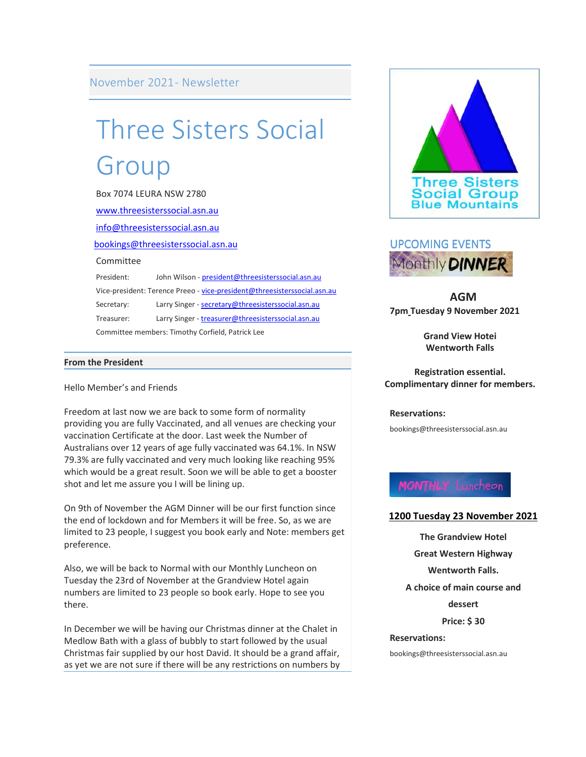# Three Sisters Social Group

Box 7074 LEURA NSW 2780

www.threesisterssocial.asn.au

info@threesisterssocial.asn.au

bookings@threesisterssocial.asn.au

#### Committee

| President:                                                               | John Wilson - president@threesisterssocial.asn.au  |  |
|--------------------------------------------------------------------------|----------------------------------------------------|--|
| Vice-president: Terence Preeo - vice-president@threesisterssocial.asn.au |                                                    |  |
| Secretary:                                                               | Larry Singer - secretary@threesisterssocial.asn.au |  |
| Treasurer:                                                               | Larry Singer - treasurer@threesisterssocial.asn.au |  |
| Committee members: Timothy Corfield, Patrick Lee                         |                                                    |  |

#### **From the President**

Hello Member's and Friends

Freedom at last now we are back to some form of normality providing you are fully Vaccinated, and all venues are checking your vaccination Certificate at the door. Last week the Number of Australians over 12 years of age fully vaccinated was 64.1%. In NSW 79.3% are fully vaccinated and very much looking like reaching 95% which would be a great result. Soon we will be able to get a booster shot and let me assure you I will be lining up.

On 9th of November the AGM Dinner will be our first function since the end of lockdown and for Members it will be free. So, as we are limited to 23 people, I suggest you book early and Note: members get preference.

Also, we will be back to Normal with our Monthly Luncheon on Tuesday the 23rd of November at the Grandview Hotel again numbers are limited to 23 people so book early. Hope to see you there.

In December we will be having our Christmas dinner at the Chalet in Medlow Bath with a glass of bubbly to start followed by the usual Christmas fair supplied by our host David. It should be a grand affair, as yet we are not sure if there will be any restrictions on numbers by





**AGM 7pm Tuesday 9 November 2021** 

> **Grand View Hotei Wentworth Falls**

**Registration essential. Complimentary dinner for members.** 

**Reservations:**

bookings@threesisterssocial.asn.au

### **MONTHLY** Luncheon

#### **1200 Tuesday 23 November 2021**

**The Grandview Hotel Great Western Highway Wentworth Falls. A choice of main course and dessert Price: \$ 30** 

#### **Reservations:**

bookings@threesisterssocial.asn.au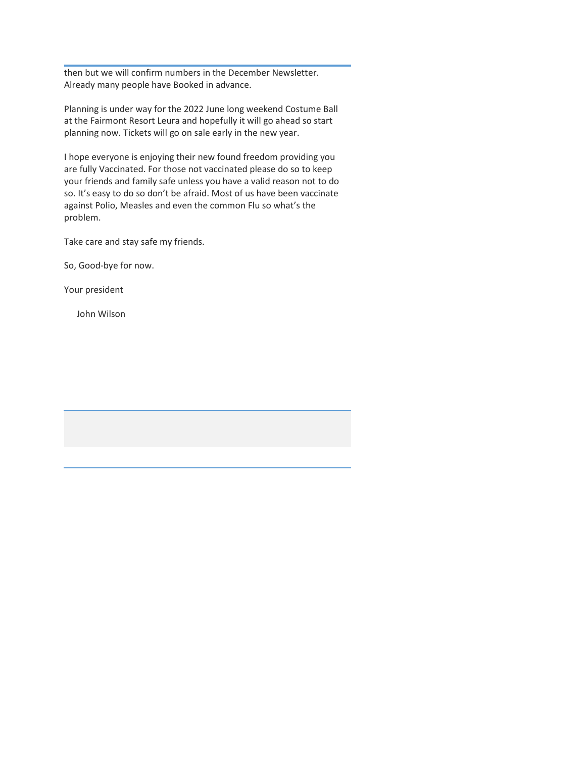then but we will confirm numbers in the December Newsletter. Already many people have Booked in advance.

Planning is under way for the 2022 June long weekend Costume Ball at the Fairmont Resort Leura and hopefully it will go ahead so start planning now. Tickets will go on sale early in the new year.

I hope everyone is enjoying their new found freedom providing you are fully Vaccinated. For those not vaccinated please do so to keep your friends and family safe unless you have a valid reason not to do so. It's easy to do so don't be afraid. Most of us have been vaccinate against Polio, Measles and even the common Flu so what's the problem.

Take care and stay safe my friends.

So, Good-bye for now.

Your president

John Wilson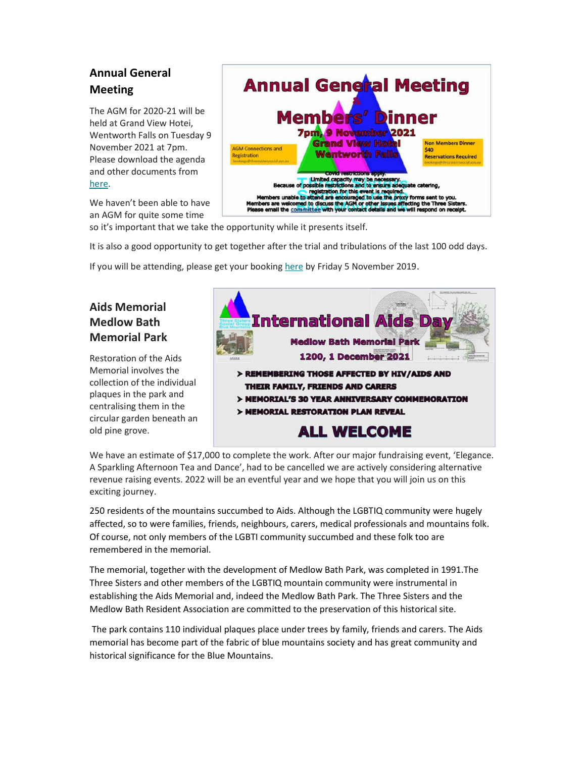# **Annual General Meeting**

The AGM for 2020-21 will be held at Grand View Hotei, Wentworth Falls on Tuesday 9 November 2021 at 7pm. Please download the agenda and other documents from here.

We haven't been able to have an AGM for quite some time



so it's important that we take the opportunity while it presents itself.

It is also a good opportunity to get together after the trial and tribulations of the last 100 odd days.

If you will be attending, please get your booking here by Friday 5 November 2019.

## **Aids Memorial Medlow Bath Memorial Park**

Restoration of the Aids Memorial involves the collection of the individual plaques in the park and centralising them in the circular garden beneath an old pine grove.



We have an estimate of \$17,000 to complete the work. After our major fundraising event, 'Elegance. A Sparkling Afternoon Tea and Dance', had to be cancelled we are actively considering alternative revenue raising events. 2022 will be an eventful year and we hope that you will join us on this exciting journey.

250 residents of the mountains succumbed to Aids. Although the LGBTIQ community were hugely affected, so to were families, friends, neighbours, carers, medical professionals and mountains folk. Of course, not only members of the LGBTI community succumbed and these folk too are remembered in the memorial.

The memorial, together with the development of Medlow Bath Park, was completed in 1991.The Three Sisters and other members of the LGBTIQ mountain community were instrumental in establishing the Aids Memorial and, indeed the Medlow Bath Park. The Three Sisters and the Medlow Bath Resident Association are committed to the preservation of this historical site.

 The park contains 110 individual plaques place under trees by family, friends and carers. The Aids memorial has become part of the fabric of blue mountains society and has great community and historical significance for the Blue Mountains.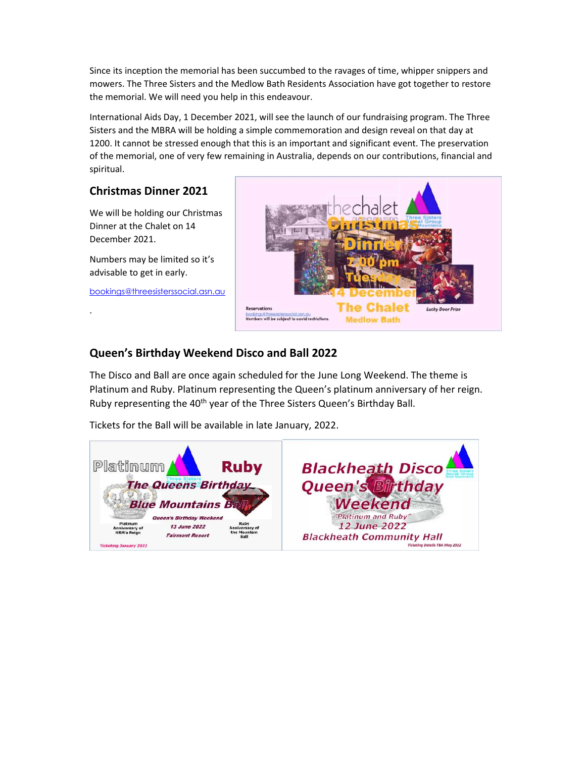Since its inception the memorial has been succumbed to the ravages of time, whipper snippers and mowers. The Three Sisters and the Medlow Bath Residents Association have got together to restore the memorial. We will need you help in this endeavour.

International Aids Day, 1 December 2021, will see the launch of our fundraising program. The Three Sisters and the MBRA will be holding a simple commemoration and design reveal on that day at 1200. It cannot be stressed enough that this is an important and significant event. The preservation of the memorial, one of very few remaining in Australia, depends on our contributions, financial and spiritual.

### **Christmas Dinner 2021**

We will be holding our Christmas Dinner at the Chalet on 14 December 2021.

Numbers may be limited so it's advisable to get in early.

bookings@threesisterssocial.asn.au

.



### **Queen's Birthday Weekend Disco and Ball 2022**

The Disco and Ball are once again scheduled for the June Long Weekend. The theme is Platinum and Ruby. Platinum representing the Queen's platinum anniversary of her reign. Ruby representing the 40<sup>th</sup> year of the Three Sisters Queen's Birthday Ball.

Tickets for the Ball will be available in late January, 2022.

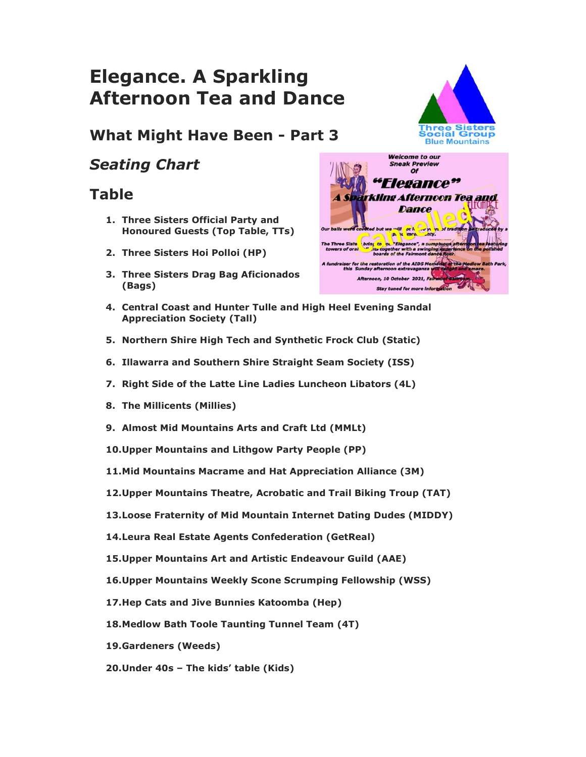# **Elegance. A Sparkling Afternoon Tea and Dance**

**What Might Have Been - Part 3** 

# *Seating Chart*

# **Table**

- **1. Three Sisters Official Party and Honoured Guests (Top Table, TTs)**
- **2. Three Sisters Hoi Polloi (HP)**
- **3. Three Sisters Drag Bag Aficionados (Bags)**



- **4. Central Coast and Hunter Tulle and High Heel Evening Sandal Appreciation Society (Tall)**
- **5. Northern Shire High Tech and Synthetic Frock Club (Static)**
- **6. Illawarra and Southern Shire Straight Seam Society (ISS)**
- **7. Right Side of the Latte Line Ladies Luncheon Libators (4L)**
- **8. The Millicents (Millies)**
- **9. Almost Mid Mountains Arts and Craft Ltd (MMLt)**
- **10.Upper Mountains and Lithgow Party People (PP)**
- **11.Mid Mountains Macrame and Hat Appreciation Alliance (3M)**
- **12.Upper Mountains Theatre, Acrobatic and Trail Biking Troup (TAT)**
- **13.Loose Fraternity of Mid Mountain Internet Dating Dudes (MIDDY)**
- **14.Leura Real Estate Agents Confederation (GetReal)**
- **15.Upper Mountains Art and Artistic Endeavour Guild (AAE)**
- **16.Upper Mountains Weekly Scone Scrumping Fellowship (WSS)**
- **17.Hep Cats and Jive Bunnies Katoomba (Hep)**
- **18.Medlow Bath Toole Taunting Tunnel Team (4T)**
- **19.Gardeners (Weeds)**
- **20.Under 40s The kids' table (Kids)**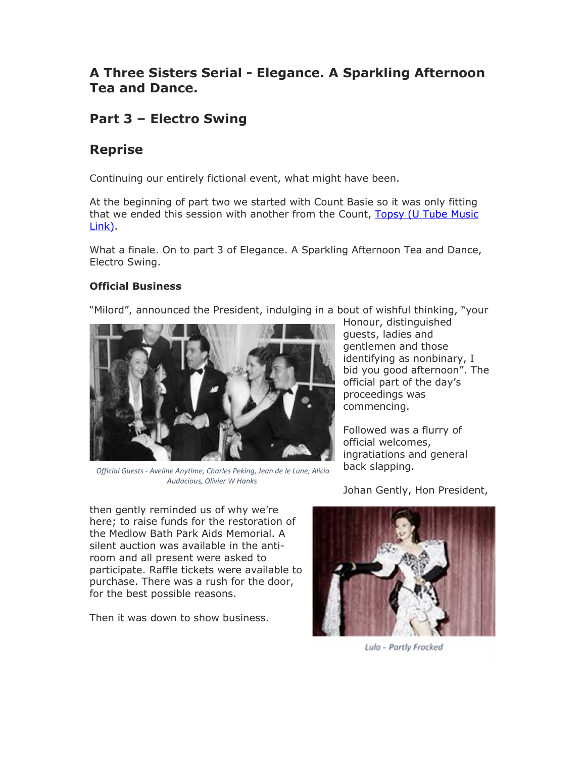# **A Three Sisters Serial - Elegance. A Sparkling Afternoon Tea and Dance.**

# **Part 3 – Electro Swing**

# **Reprise**

Continuing our entirely fictional event, what might have been.

At the beginning of part two we started with Count Basie so it was only fitting that we ended this session with another from the Count, Topsy (U Tube Music Link).

What a finale. On to part 3 of Elegance. A Sparkling Afternoon Tea and Dance, Electro Swing.

### **Official Business**

"Milord", announced the President, indulging in a bout of wishful thinking, "your



 *Official Guests - Aveline Anytime, Charles Peking, Jean de le Lune, Alicia Audacious, Olivier W Hanks*

Honour, distinguished guests, ladies and gentlemen and those identifying as nonbinary, I bid you good afternoon". The official part of the day's proceedings was commencing.

Followed was a flurry of official welcomes, ingratiations and general back slapping.

Johan Gently, Hon President,

then gently reminded us of why we're here; to raise funds for the restoration of the Medlow Bath Park Aids Memorial. A silent auction was available in the antiroom and all present were asked to participate. Raffle tickets were available to purchase. There was a rush for the door, for the best possible reasons.

Then it was down to show business.



Lula - Partly Frocked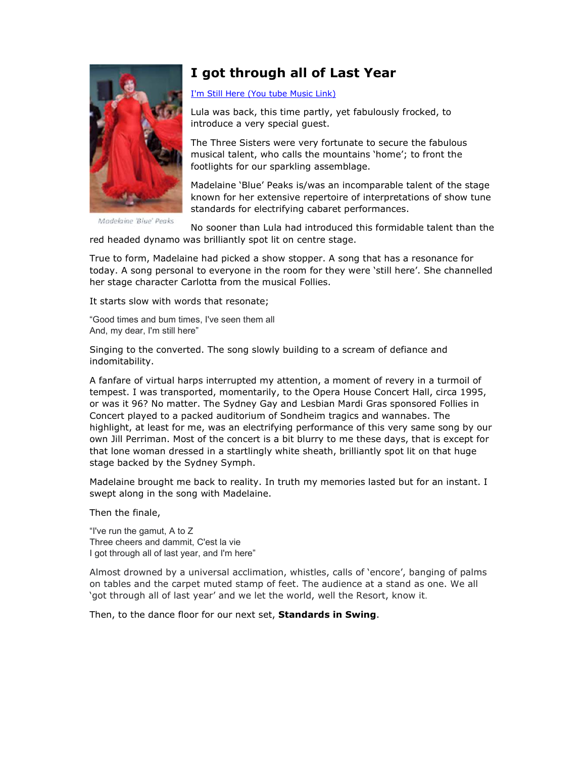

Madelaine 'Blue' Peaks

# **I got through all of Last Year**

#### I'm Still Here (You tube Music Link)

Lula was back, this time partly, yet fabulously frocked, to introduce a very special guest.

The Three Sisters were very fortunate to secure the fabulous musical talent, who calls the mountains 'home'; to front the footlights for our sparkling assemblage.

Madelaine 'Blue' Peaks is/was an incomparable talent of the stage known for her extensive repertoire of interpretations of show tune standards for electrifying cabaret performances.

No sooner than Lula had introduced this formidable talent than the red headed dynamo was brilliantly spot lit on centre stage.

True to form, Madelaine had picked a show stopper. A song that has a resonance for today. A song personal to everyone in the room for they were 'still here'. She channelled her stage character Carlotta from the musical Follies.

It starts slow with words that resonate;

"Good times and bum times, I've seen them all And, my dear, I'm still here"

Singing to the converted. The song slowly building to a scream of defiance and indomitability.

A fanfare of virtual harps interrupted my attention, a moment of revery in a turmoil of tempest. I was transported, momentarily, to the Opera House Concert Hall, circa 1995, or was it 96? No matter. The Sydney Gay and Lesbian Mardi Gras sponsored Follies in Concert played to a packed auditorium of Sondheim tragics and wannabes. The highlight, at least for me, was an electrifying performance of this very same song by our own Jill Perriman. Most of the concert is a bit blurry to me these days, that is except for that lone woman dressed in a startlingly white sheath, brilliantly spot lit on that huge stage backed by the Sydney Symph.

Madelaine brought me back to reality. In truth my memories lasted but for an instant. I swept along in the song with Madelaine.

Then the finale,

"I've run the gamut, A to Z Three cheers and dammit, C'est la vie I got through all of last year, and I'm here"

Almost drowned by a universal acclimation, whistles, calls of 'encore', banging of palms on tables and the carpet muted stamp of feet. The audience at a stand as one. We all 'got through all of last year' and we let the world, well the Resort, know it.

Then, to the dance floor for our next set, **Standards in Swing**.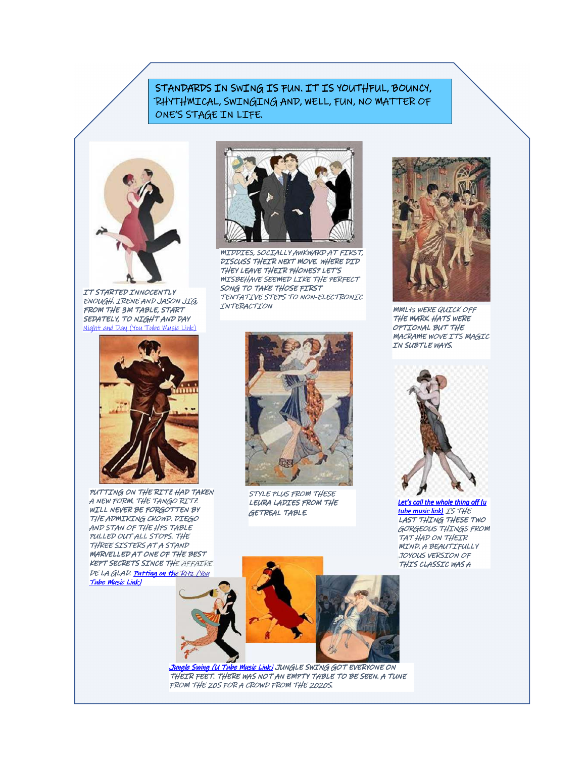### STANDARDS IN SWING IS FUN. IT IS YOUTHFUL, BOUNCY, RHYTHMICAL, SWINGING AND, WELL, FUN, NO MATTER OF ONE'S STAGE IN LIFE.



IT STARTED INNOCENTLY ENOUGH. IRENE AND JASON JIG, JIG, FROM THE 3M TABLE, START SEDATELY, TO NIGHT AND DAY Night and Day (You Tube Music Link)



PUTTING ON THE RITZ HAD TAKEN A NEW FORM. THE TANGO RITZ WILL NEVER BE FORGOTTEN BY THE ADMIRING CROWD. DIEGO AND STAN OF THE HPS TABLE PULLED OUT ALL STOPS. THE THREE SISTERS AT A STAND MARVELLED AT ONE OF THE BEST KEPT SECRETS SINCE THE AFFAIRE DE LA GLAD*.* Putting on the Ritz (You Tube Music Link)



MIDDIES, SOCIALLY AWKWARD AT FIRST, DISCUSS THEIR NEXT MOVE. WHERE DID THEY LEAVE THEIR PHONES? LET'S MISBEHAVE SEEMED LIKE THE PERFECT SONG TO TAKE THOSE FIRST TENTATIVE STEPS TO NON-ELECTRONIC INTERACTION MMLts WERE QUICK OFF



THE MARK. HATS WERE OPTIONAL BUT THE **MACRAME WOVE ITS MAGIC** IN SUBTLE WAYS.



STYLE PLUS FROM THESE LEURA LADIES FROM THE GETREAL TABLE*.*



*Let's call the whole thing off (u*  **tube music link)** IS THE LAST THING THESE TWO GORGEOUS THINGS FROM TAT HAD ON THEIR MIND. A BEAUTIFULLY JOYOUS VERSION OF THIS CLASSIC WAS A



<u>Ie Swing (U Tube Music Link)</u> JUNGLE SWING GOT EVERYONE ON THEIR FEET. THERE WAS NOT AN EMPTY TABLE TO BE SEEN. A TUNE FROM THE 20S FOR A CROWD FROM THE 2020S.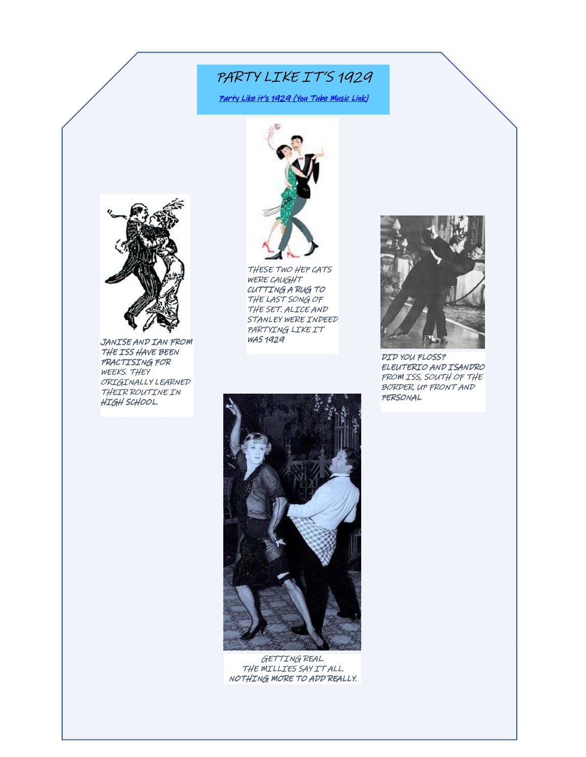# PARTY LIKE IT'S 1929

Party Like it's 1929 (You Tube Music Link)



JANISE AND IAN FROM WAS 1929 WAS THE ISS HAVE BEEN PRACTISING FOR WEEKS. THEY ORIGINALLY LEARNED THEIR ROUTINE IN HIGH SCHOOL.



THESE TWO HEP CATS WERE CAUGHT CUTTING A RUG TO THE LAST SONG OF THE SET. ALICE AND STANLEY WERE INDEED PARTYING LIKE IT



DID YOU FLOSS? ELEUTERIO AND ISANDRO FROM ISS, SOUTH OF THE BORDER, UP FRONT AND PERSONAL*.* 



GETTING REAL. THE MILLIES SAY IT ALL. NOTHING MORE TO ADD REALLY.